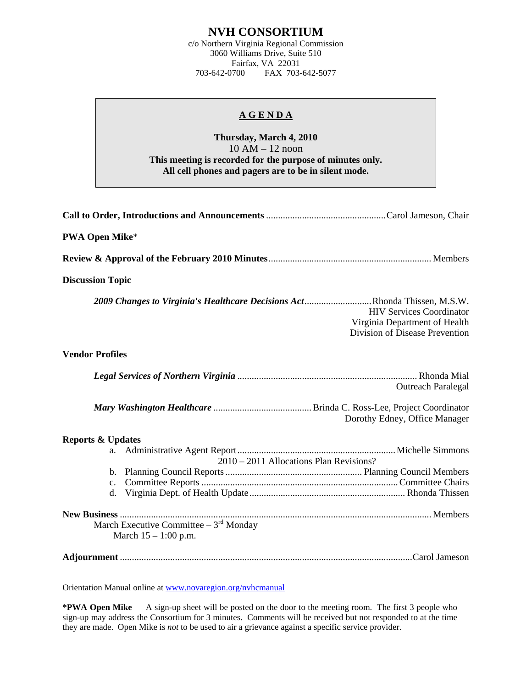## **NVH CONSORTIUM**

c/o Northern Virginia Regional Commission 3060 Williams Drive, Suite 510 Fairfax, VA 22031<br>703-642-0700 FAX 703-FAX 703-642-5077

## **A G E N D A**

## **Thursday, March 4, 2010**  10 AM – 12 noon **This meeting is recorded for the purpose of minutes only. All cell phones and pagers are to be in silent mode.**

| <b>PWA Open Mike*</b>                                                                                                                                                           |
|---------------------------------------------------------------------------------------------------------------------------------------------------------------------------------|
|                                                                                                                                                                                 |
| <b>Discussion Topic</b>                                                                                                                                                         |
| 2009 Changes to Virginia's Healthcare Decisions ActRhonda Thissen, M.S.W.<br><b>HIV Services Coordinator</b><br>Virginia Department of Health<br>Division of Disease Prevention |
| <b>Vendor Profiles</b>                                                                                                                                                          |
| <b>Outreach Paralegal</b>                                                                                                                                                       |
| Dorothy Edney, Office Manager                                                                                                                                                   |
| <b>Reports &amp; Updates</b>                                                                                                                                                    |
| 2010 - 2011 Allocations Plan Revisions?                                                                                                                                         |
| $c_{\cdot}$<br>d.                                                                                                                                                               |
| March Executive Committee $-3^{rd}$ Monday<br>March $15 - 1:00$ p.m.                                                                                                            |
|                                                                                                                                                                                 |

Orientation Manual online at [www.novaregion.org/nvhcmanual](http://www.novaregion.org/nvhcmanual)

**\*PWA Open Mike** — A sign-up sheet will be posted on the door to the meeting room. The first 3 people who sign-up may address the Consortium for 3 minutes. Comments will be received but not responded to at the time they are made. Open Mike is *not* to be used to air a grievance against a specific service provider.